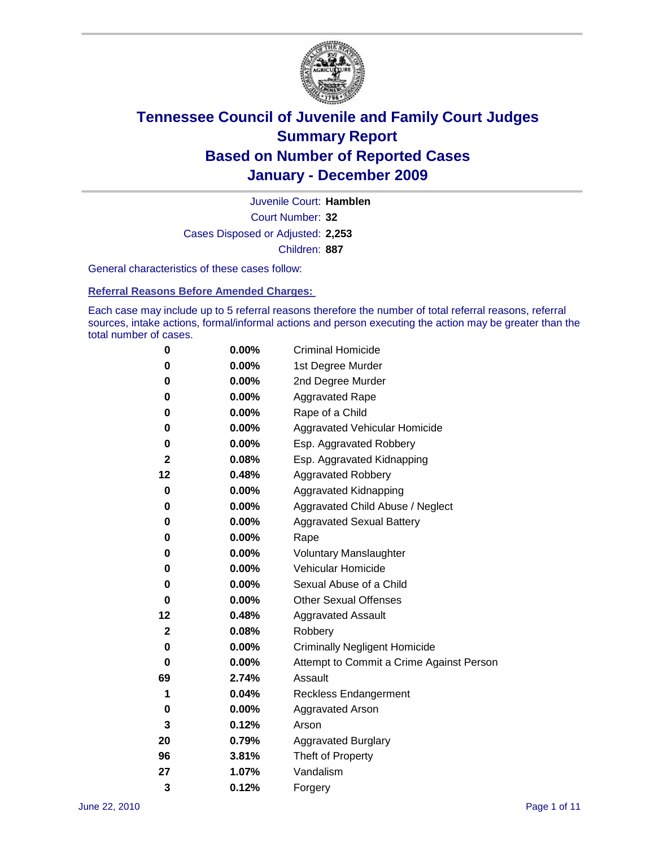

Court Number: **32** Juvenile Court: **Hamblen** Cases Disposed or Adjusted: **2,253** Children: **887**

General characteristics of these cases follow:

**Referral Reasons Before Amended Charges:** 

Each case may include up to 5 referral reasons therefore the number of total referral reasons, referral sources, intake actions, formal/informal actions and person executing the action may be greater than the total number of cases.

| 0           | 0.00% | <b>Criminal Homicide</b>                 |
|-------------|-------|------------------------------------------|
| 0           | 0.00% | 1st Degree Murder                        |
| 0           | 0.00% | 2nd Degree Murder                        |
| 0           | 0.00% | <b>Aggravated Rape</b>                   |
| 0           | 0.00% | Rape of a Child                          |
| 0           | 0.00% | Aggravated Vehicular Homicide            |
| 0           | 0.00% | Esp. Aggravated Robbery                  |
| 2           | 0.08% | Esp. Aggravated Kidnapping               |
| 12          | 0.48% | <b>Aggravated Robbery</b>                |
| 0           | 0.00% | Aggravated Kidnapping                    |
| 0           | 0.00% | Aggravated Child Abuse / Neglect         |
| 0           | 0.00% | <b>Aggravated Sexual Battery</b>         |
| 0           | 0.00% | Rape                                     |
| 0           | 0.00% | <b>Voluntary Manslaughter</b>            |
| 0           | 0.00% | Vehicular Homicide                       |
| 0           | 0.00% | Sexual Abuse of a Child                  |
| 0           | 0.00% | <b>Other Sexual Offenses</b>             |
| 12          | 0.48% | <b>Aggravated Assault</b>                |
| $\mathbf 2$ | 0.08% | Robbery                                  |
| 0           | 0.00% | <b>Criminally Negligent Homicide</b>     |
| 0           | 0.00% | Attempt to Commit a Crime Against Person |
| 69          | 2.74% | Assault                                  |
| 1           | 0.04% | <b>Reckless Endangerment</b>             |
| 0           | 0.00% | <b>Aggravated Arson</b>                  |
| 3           | 0.12% | Arson                                    |
| 20          | 0.79% | <b>Aggravated Burglary</b>               |
| 96          | 3.81% | Theft of Property                        |
| 27          | 1.07% | Vandalism                                |
| 3           | 0.12% | Forgery                                  |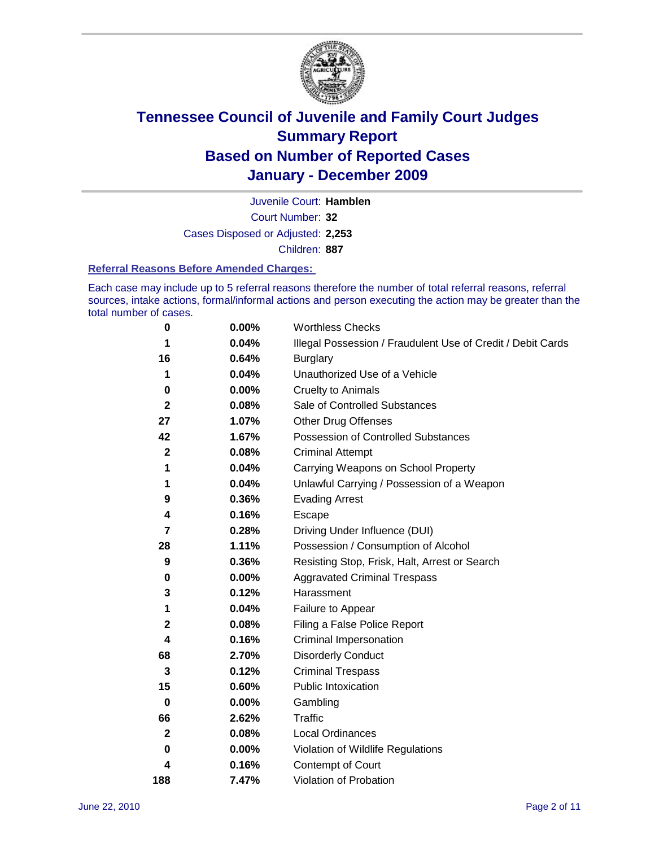

Court Number: **32** Juvenile Court: **Hamblen** Cases Disposed or Adjusted: **2,253** Children: **887**

#### **Referral Reasons Before Amended Charges:**

Each case may include up to 5 referral reasons therefore the number of total referral reasons, referral sources, intake actions, formal/informal actions and person executing the action may be greater than the total number of cases.

| 0            | 0.00%    | <b>Worthless Checks</b>                                     |
|--------------|----------|-------------------------------------------------------------|
| 1            | 0.04%    | Illegal Possession / Fraudulent Use of Credit / Debit Cards |
| 16           | 0.64%    | <b>Burglary</b>                                             |
| 1            | 0.04%    | Unauthorized Use of a Vehicle                               |
| 0            | $0.00\%$ | <b>Cruelty to Animals</b>                                   |
| $\mathbf{2}$ | 0.08%    | Sale of Controlled Substances                               |
| 27           | 1.07%    | <b>Other Drug Offenses</b>                                  |
| 42           | 1.67%    | Possession of Controlled Substances                         |
| $\mathbf{2}$ | 0.08%    | <b>Criminal Attempt</b>                                     |
| 1            | 0.04%    | Carrying Weapons on School Property                         |
| 1            | 0.04%    | Unlawful Carrying / Possession of a Weapon                  |
| 9            | 0.36%    | <b>Evading Arrest</b>                                       |
| 4            | 0.16%    | Escape                                                      |
| 7            | 0.28%    | Driving Under Influence (DUI)                               |
| 28           | 1.11%    | Possession / Consumption of Alcohol                         |
| 9            | 0.36%    | Resisting Stop, Frisk, Halt, Arrest or Search               |
| 0            | $0.00\%$ | <b>Aggravated Criminal Trespass</b>                         |
| 3            | 0.12%    | Harassment                                                  |
| 1            | 0.04%    | Failure to Appear                                           |
| $\mathbf 2$  | 0.08%    | Filing a False Police Report                                |
| 4            | 0.16%    | Criminal Impersonation                                      |
| 68           | 2.70%    | <b>Disorderly Conduct</b>                                   |
| 3            | 0.12%    | <b>Criminal Trespass</b>                                    |
| 15           | 0.60%    | <b>Public Intoxication</b>                                  |
| $\mathbf 0$  | $0.00\%$ | Gambling                                                    |
| 66           | 2.62%    | <b>Traffic</b>                                              |
| $\mathbf{2}$ | 0.08%    | Local Ordinances                                            |
| 0            | $0.00\%$ | Violation of Wildlife Regulations                           |
| 4            | 0.16%    | Contempt of Court                                           |
| 188          | 7.47%    | Violation of Probation                                      |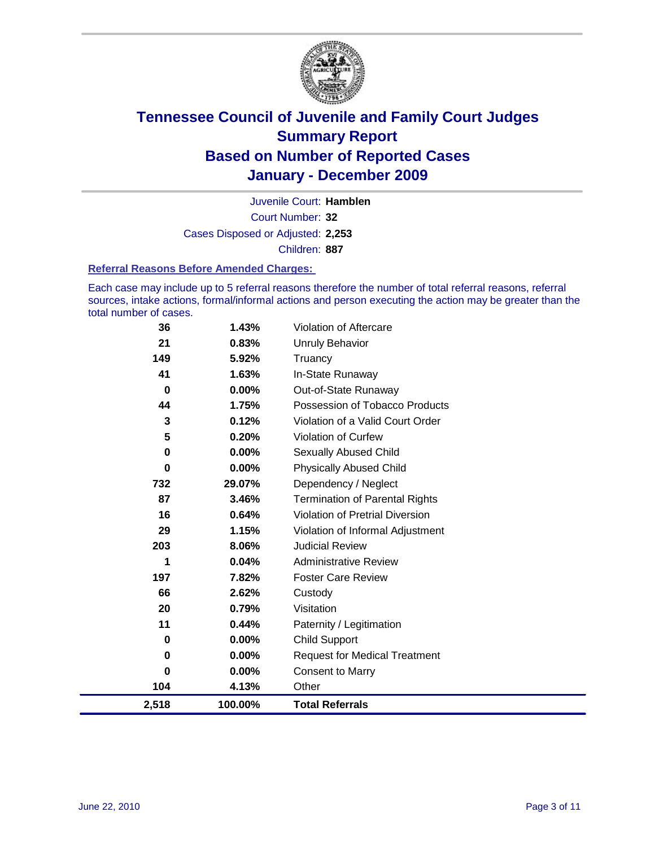

Court Number: **32** Juvenile Court: **Hamblen** Cases Disposed or Adjusted: **2,253** Children: **887**

#### **Referral Reasons Before Amended Charges:**

Each case may include up to 5 referral reasons therefore the number of total referral reasons, referral sources, intake actions, formal/informal actions and person executing the action may be greater than the total number of cases.

| 36          | 1.43%    | Violation of Aftercare                 |
|-------------|----------|----------------------------------------|
| 21          | 0.83%    | <b>Unruly Behavior</b>                 |
| 149         | 5.92%    | Truancy                                |
| 41          | 1.63%    | In-State Runaway                       |
| 0           | $0.00\%$ | Out-of-State Runaway                   |
| 44          | 1.75%    | Possession of Tobacco Products         |
| 3           | 0.12%    | Violation of a Valid Court Order       |
| 5           | 0.20%    | <b>Violation of Curfew</b>             |
| $\mathbf 0$ | $0.00\%$ | Sexually Abused Child                  |
| $\bf{0}$    | 0.00%    | <b>Physically Abused Child</b>         |
| 732         | 29.07%   | Dependency / Neglect                   |
| 87          | 3.46%    | <b>Termination of Parental Rights</b>  |
| 16          | 0.64%    | <b>Violation of Pretrial Diversion</b> |
| 29          | 1.15%    | Violation of Informal Adjustment       |
| 203         | 8.06%    | <b>Judicial Review</b>                 |
| 1           | 0.04%    | <b>Administrative Review</b>           |
| 197         | 7.82%    | <b>Foster Care Review</b>              |
| 66          | 2.62%    | Custody                                |
| 20          | 0.79%    | Visitation                             |
| 11          | 0.44%    | Paternity / Legitimation               |
| 0           | 0.00%    | <b>Child Support</b>                   |
| $\mathbf 0$ | 0.00%    | <b>Request for Medical Treatment</b>   |
| 0           | 0.00%    | <b>Consent to Marry</b>                |
| 104         | 4.13%    | Other                                  |
| 2,518       | 100.00%  | <b>Total Referrals</b>                 |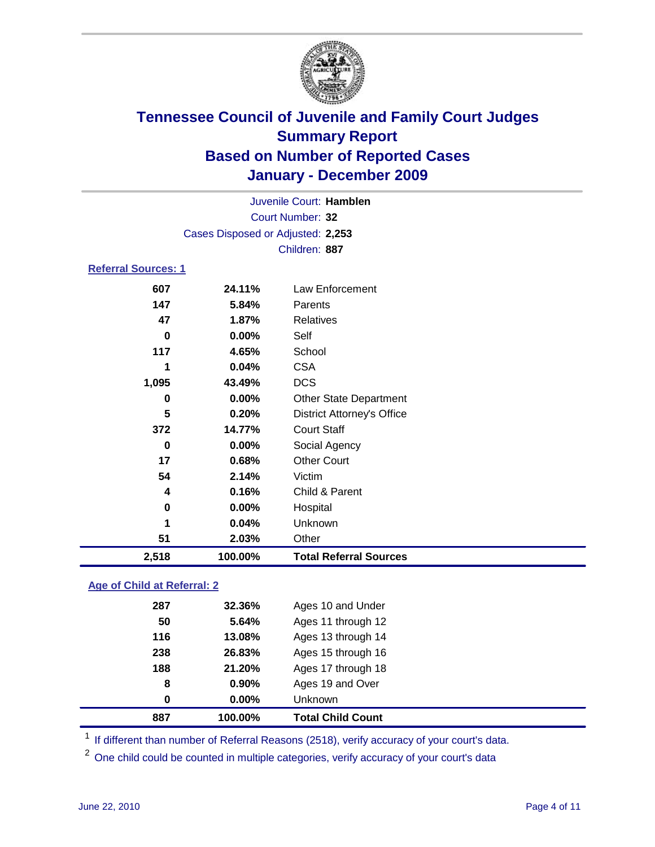

| Juvenile Court: Hamblen    |                                   |                                   |  |  |  |
|----------------------------|-----------------------------------|-----------------------------------|--|--|--|
| <b>Court Number: 32</b>    |                                   |                                   |  |  |  |
|                            | Cases Disposed or Adjusted: 2,253 |                                   |  |  |  |
|                            |                                   | Children: 887                     |  |  |  |
| <b>Referral Sources: 1</b> |                                   |                                   |  |  |  |
| 607                        | 24.11%                            | <b>Law Enforcement</b>            |  |  |  |
| 147                        | 5.84%                             | Parents                           |  |  |  |
| 47                         | 1.87%                             | <b>Relatives</b>                  |  |  |  |
| $\mathbf 0$                | 0.00%                             | Self                              |  |  |  |
| 117                        | 4.65%                             | School                            |  |  |  |
| 1                          | 0.04%                             | <b>CSA</b>                        |  |  |  |
| 1,095                      | 43.49%                            | <b>DCS</b>                        |  |  |  |
| 0                          | 0.00%                             | <b>Other State Department</b>     |  |  |  |
| 5                          | 0.20%                             | <b>District Attorney's Office</b> |  |  |  |
| 372                        | 14.77%                            | <b>Court Staff</b>                |  |  |  |
| $\bf{0}$                   | 0.00%                             | Social Agency                     |  |  |  |
| 17                         | 0.68%                             | <b>Other Court</b>                |  |  |  |
| 54                         | 2.14%                             | Victim                            |  |  |  |
| 4                          | 0.16%                             | Child & Parent                    |  |  |  |
| 0                          | 0.00%                             | Hospital                          |  |  |  |
| 1                          | 0.04%                             | Unknown                           |  |  |  |
| 51                         | 2.03%                             | Other                             |  |  |  |
| 2,518                      | 100.00%                           | <b>Total Referral Sources</b>     |  |  |  |
|                            |                                   |                                   |  |  |  |

### **Age of Child at Referral: 2**

|          |        | <b>Total Child Count</b> |
|----------|--------|--------------------------|
| $\bf{0}$ | 0.00%  | <b>Unknown</b>           |
| 8        | 0.90%  | Ages 19 and Over         |
| 188      | 21.20% | Ages 17 through 18       |
| 238      | 26.83% | Ages 15 through 16       |
| 116      | 13.08% | Ages 13 through 14       |
| 50       | 5.64%  | Ages 11 through 12       |
| 287      | 32.36% | Ages 10 and Under        |
|          |        | 887<br>100.00%           |

<sup>1</sup> If different than number of Referral Reasons (2518), verify accuracy of your court's data.

<sup>2</sup> One child could be counted in multiple categories, verify accuracy of your court's data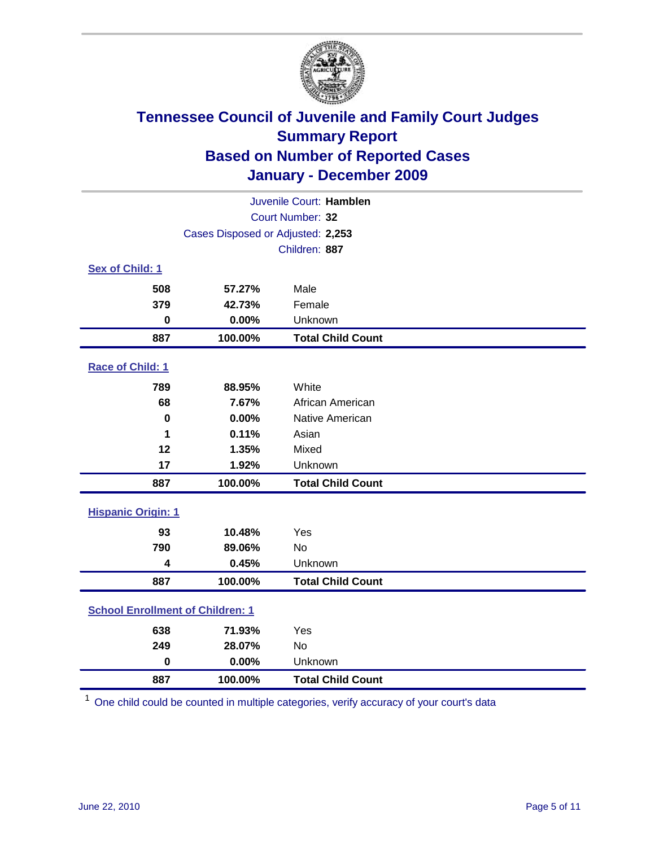

| Juvenile Court: Hamblen                 |                                   |                          |  |
|-----------------------------------------|-----------------------------------|--------------------------|--|
|                                         | Court Number: 32                  |                          |  |
|                                         | Cases Disposed or Adjusted: 2,253 |                          |  |
|                                         |                                   | Children: 887            |  |
| Sex of Child: 1                         |                                   |                          |  |
| 508                                     | 57.27%                            | Male                     |  |
| 379                                     | 42.73%                            | Female                   |  |
| $\mathbf 0$                             | 0.00%                             | Unknown                  |  |
| 887                                     | 100.00%                           | <b>Total Child Count</b> |  |
| Race of Child: 1                        |                                   |                          |  |
| 789                                     | 88.95%                            | White                    |  |
| 68                                      | 7.67%                             | African American         |  |
| $\mathbf 0$                             | 0.00%                             | Native American          |  |
| 1                                       | 0.11%                             | Asian                    |  |
| 12                                      | 1.35%                             | Mixed                    |  |
| 17                                      | 1.92%                             | Unknown                  |  |
| 887                                     | 100.00%                           | <b>Total Child Count</b> |  |
| <b>Hispanic Origin: 1</b>               |                                   |                          |  |
| 93                                      | 10.48%                            | Yes                      |  |
| 790                                     | 89.06%                            | No                       |  |
| 4                                       | 0.45%                             | Unknown                  |  |
| 887                                     | 100.00%                           | <b>Total Child Count</b> |  |
| <b>School Enrollment of Children: 1</b> |                                   |                          |  |
| 638                                     | 71.93%                            | Yes                      |  |
| 249                                     | 28.07%                            | No                       |  |
| $\mathbf 0$                             | 0.00%                             | Unknown                  |  |
| 887                                     | 100.00%                           | <b>Total Child Count</b> |  |

One child could be counted in multiple categories, verify accuracy of your court's data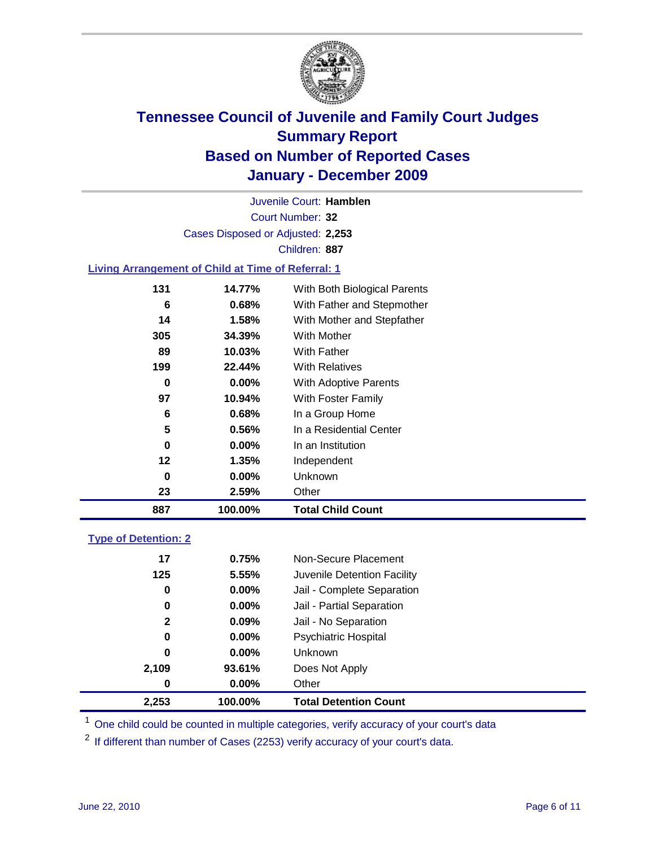

Court Number: **32** Juvenile Court: **Hamblen** Cases Disposed or Adjusted: **2,253** Children: **887**

### **Living Arrangement of Child at Time of Referral: 1**

| 887 | 100.00%  | <b>Total Child Count</b>     |
|-----|----------|------------------------------|
| 23  | 2.59%    | Other                        |
| 0   | 0.00%    | Unknown                      |
| 12  | 1.35%    | Independent                  |
| 0   | $0.00\%$ | In an Institution            |
| 5   | 0.56%    | In a Residential Center      |
| 6   | 0.68%    | In a Group Home              |
| 97  | 10.94%   | With Foster Family           |
| 0   | $0.00\%$ | With Adoptive Parents        |
| 199 | 22.44%   | <b>With Relatives</b>        |
| 89  | 10.03%   | With Father                  |
| 305 | 34.39%   | <b>With Mother</b>           |
| 14  | 1.58%    | With Mother and Stepfather   |
| 6   | 0.68%    | With Father and Stepmother   |
| 131 | 14.77%   | With Both Biological Parents |
|     |          |                              |

### **Type of Detention: 2**

| 2,253        | 100.00%  | <b>Total Detention Count</b> |  |
|--------------|----------|------------------------------|--|
| 0            | 0.00%    | Other                        |  |
| 2,109        | 93.61%   | Does Not Apply               |  |
| 0            | $0.00\%$ | Unknown                      |  |
| 0            | $0.00\%$ | <b>Psychiatric Hospital</b>  |  |
| $\mathbf{2}$ | 0.09%    | Jail - No Separation         |  |
| 0            | $0.00\%$ | Jail - Partial Separation    |  |
| 0            | 0.00%    | Jail - Complete Separation   |  |
| 125          | 5.55%    | Juvenile Detention Facility  |  |
| 17           | 0.75%    | Non-Secure Placement         |  |
|              |          |                              |  |

<sup>1</sup> One child could be counted in multiple categories, verify accuracy of your court's data

<sup>2</sup> If different than number of Cases (2253) verify accuracy of your court's data.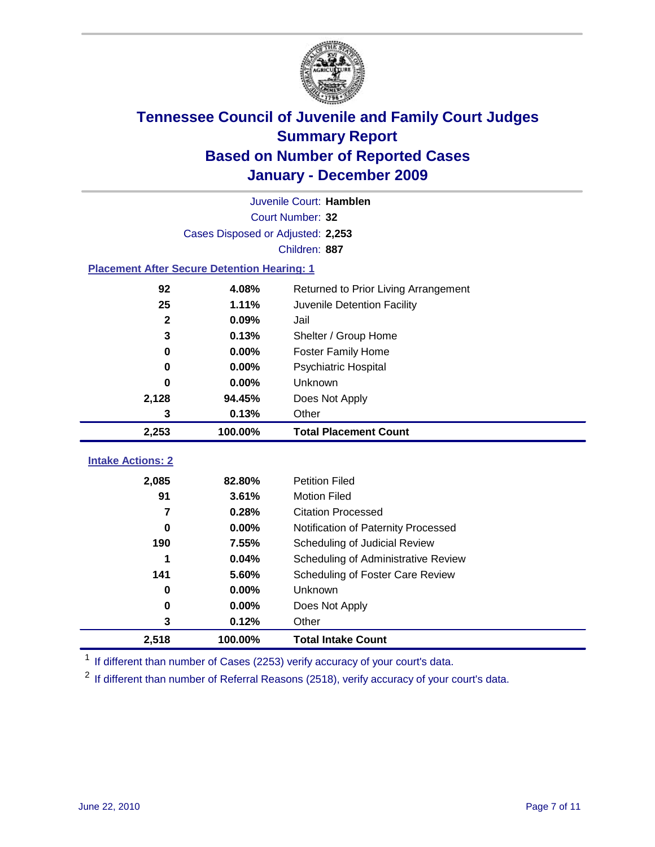

|                                                    | Juvenile Court: Hamblen           |                                      |  |  |  |
|----------------------------------------------------|-----------------------------------|--------------------------------------|--|--|--|
|                                                    | Court Number: 32                  |                                      |  |  |  |
|                                                    | Cases Disposed or Adjusted: 2,253 |                                      |  |  |  |
|                                                    |                                   | Children: 887                        |  |  |  |
| <b>Placement After Secure Detention Hearing: 1</b> |                                   |                                      |  |  |  |
| 92                                                 | 4.08%                             | Returned to Prior Living Arrangement |  |  |  |
| 25                                                 | 1.11%                             | Juvenile Detention Facility          |  |  |  |
| $\mathbf{2}$                                       | 0.09%                             | Jail                                 |  |  |  |
| 3                                                  | 0.13%                             | Shelter / Group Home                 |  |  |  |
| 0                                                  | 0.00%                             | <b>Foster Family Home</b>            |  |  |  |
| $\bf{0}$                                           | 0.00%                             | Psychiatric Hospital                 |  |  |  |
| 0                                                  | 0.00%                             | Unknown                              |  |  |  |
| 2,128                                              | 94.45%                            | Does Not Apply                       |  |  |  |
| 3                                                  | 0.13%                             | Other                                |  |  |  |
| 2,253                                              | 100.00%                           | <b>Total Placement Count</b>         |  |  |  |
| <b>Intake Actions: 2</b>                           |                                   |                                      |  |  |  |
|                                                    |                                   |                                      |  |  |  |
| 2,085                                              | 82.80%                            | <b>Petition Filed</b>                |  |  |  |
| 91                                                 | 3.61%                             | <b>Motion Filed</b>                  |  |  |  |
| 7                                                  | 0.28%                             | <b>Citation Processed</b>            |  |  |  |
| 0                                                  | 0.00%                             | Notification of Paternity Processed  |  |  |  |
| 190                                                | 7.55%                             | Scheduling of Judicial Review        |  |  |  |
| 1                                                  | 0.04%                             | Scheduling of Administrative Review  |  |  |  |
| 141                                                | 5.60%                             | Scheduling of Foster Care Review     |  |  |  |
| $\bf{0}$                                           | 0.00%                             | Unknown                              |  |  |  |
| 0                                                  | 0.00%                             | Does Not Apply                       |  |  |  |
| 3                                                  | 0.12%                             | Other                                |  |  |  |
| 2,518                                              | 100.00%                           | <b>Total Intake Count</b>            |  |  |  |

<sup>1</sup> If different than number of Cases (2253) verify accuracy of your court's data.

<sup>2</sup> If different than number of Referral Reasons (2518), verify accuracy of your court's data.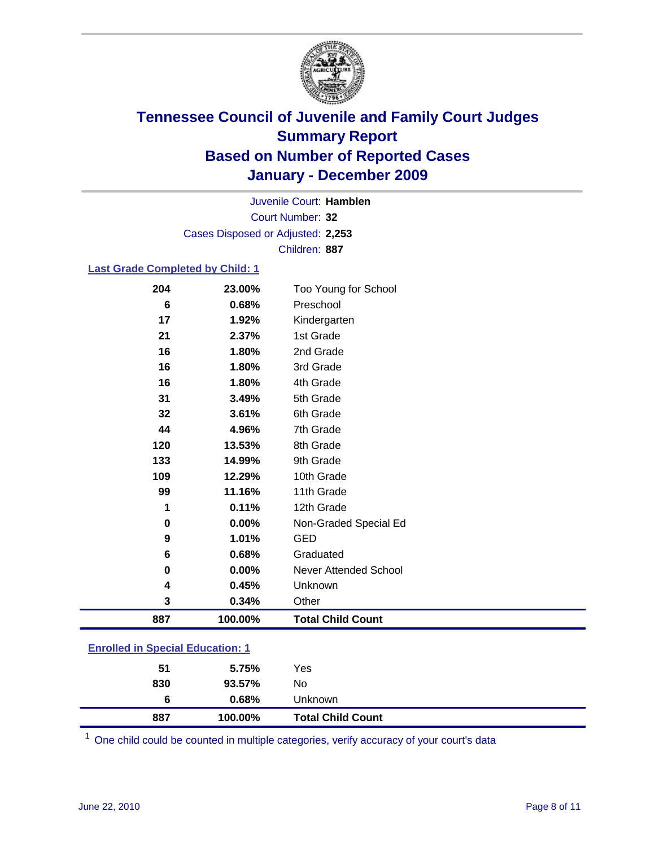

Court Number: **32** Juvenile Court: **Hamblen** Cases Disposed or Adjusted: **2,253** Children: **887**

### **Last Grade Completed by Child: 1**

| 204                                     | 23.00%  | Too Young for School         |  |
|-----------------------------------------|---------|------------------------------|--|
| 6                                       | 0.68%   | Preschool                    |  |
| 17                                      | 1.92%   | Kindergarten                 |  |
| 21                                      | 2.37%   | 1st Grade                    |  |
| 16                                      | 1.80%   | 2nd Grade                    |  |
| 16                                      | 1.80%   | 3rd Grade                    |  |
| 16                                      | 1.80%   | 4th Grade                    |  |
| 31                                      | 3.49%   | 5th Grade                    |  |
| 32                                      | 3.61%   | 6th Grade                    |  |
| 44                                      | 4.96%   | 7th Grade                    |  |
| 120                                     | 13.53%  | 8th Grade                    |  |
| 133                                     | 14.99%  | 9th Grade                    |  |
| 109                                     | 12.29%  | 10th Grade                   |  |
| 99                                      | 11.16%  | 11th Grade                   |  |
| 1                                       | 0.11%   | 12th Grade                   |  |
| 0                                       | 0.00%   | Non-Graded Special Ed        |  |
| 9                                       | 1.01%   | <b>GED</b>                   |  |
| 6                                       | 0.68%   | Graduated                    |  |
| 0                                       | 0.00%   | <b>Never Attended School</b> |  |
| 4                                       | 0.45%   | Unknown                      |  |
| 3                                       | 0.34%   | Other                        |  |
| 887                                     | 100.00% | <b>Total Child Count</b>     |  |
| <b>Enrolled in Special Education: 1</b> |         |                              |  |

| 887                                | 100.00% | <b>Total Child Count</b> |  |
|------------------------------------|---------|--------------------------|--|
| 6                                  | 0.68%   | Unknown                  |  |
| 830                                | 93.57%  | No                       |  |
| 51                                 | 5.75%   | Yes                      |  |
| __________________________________ |         |                          |  |

One child could be counted in multiple categories, verify accuracy of your court's data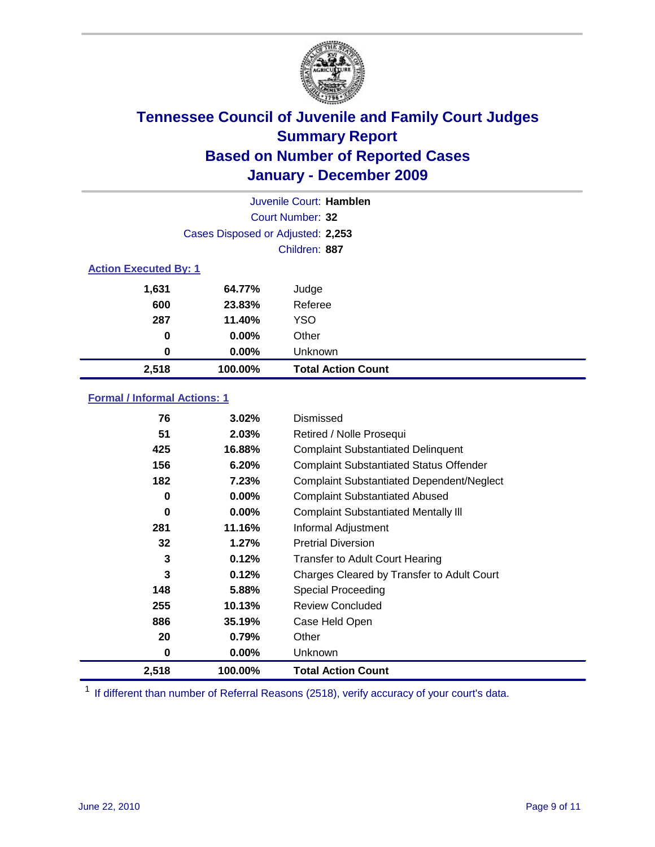

|       | Juvenile Court: Hamblen           |                           |  |  |  |
|-------|-----------------------------------|---------------------------|--|--|--|
|       |                                   | Court Number: 32          |  |  |  |
|       | Cases Disposed or Adjusted: 2,253 |                           |  |  |  |
|       | Children: 887                     |                           |  |  |  |
|       | <b>Action Executed By: 1</b>      |                           |  |  |  |
| 1,631 | 64.77%                            | Judge                     |  |  |  |
| 600   | 23.83%                            | Referee                   |  |  |  |
| 287   | 11.40%                            | <b>YSO</b>                |  |  |  |
| 0     | 0.00%                             | Other                     |  |  |  |
| 0     | 0.00%                             | Unknown                   |  |  |  |
| 2,518 | 100.00%                           | <b>Total Action Count</b> |  |  |  |

### **Formal / Informal Actions: 1**

| 76    | 3.02%    | Dismissed                                        |
|-------|----------|--------------------------------------------------|
| 51    | 2.03%    | Retired / Nolle Prosequi                         |
| 425   | 16.88%   | <b>Complaint Substantiated Delinquent</b>        |
| 156   | 6.20%    | <b>Complaint Substantiated Status Offender</b>   |
| 182   | 7.23%    | <b>Complaint Substantiated Dependent/Neglect</b> |
| 0     | $0.00\%$ | <b>Complaint Substantiated Abused</b>            |
| 0     | $0.00\%$ | <b>Complaint Substantiated Mentally III</b>      |
| 281   | 11.16%   | Informal Adjustment                              |
| 32    | 1.27%    | <b>Pretrial Diversion</b>                        |
| 3     | 0.12%    | <b>Transfer to Adult Court Hearing</b>           |
| 3     | 0.12%    | Charges Cleared by Transfer to Adult Court       |
| 148   | 5.88%    | Special Proceeding                               |
| 255   | 10.13%   | <b>Review Concluded</b>                          |
| 886   | 35.19%   | Case Held Open                                   |
| 20    | 0.79%    | Other                                            |
| 0     | $0.00\%$ | Unknown                                          |
| 2,518 | 100.00%  | <b>Total Action Count</b>                        |

<sup>1</sup> If different than number of Referral Reasons (2518), verify accuracy of your court's data.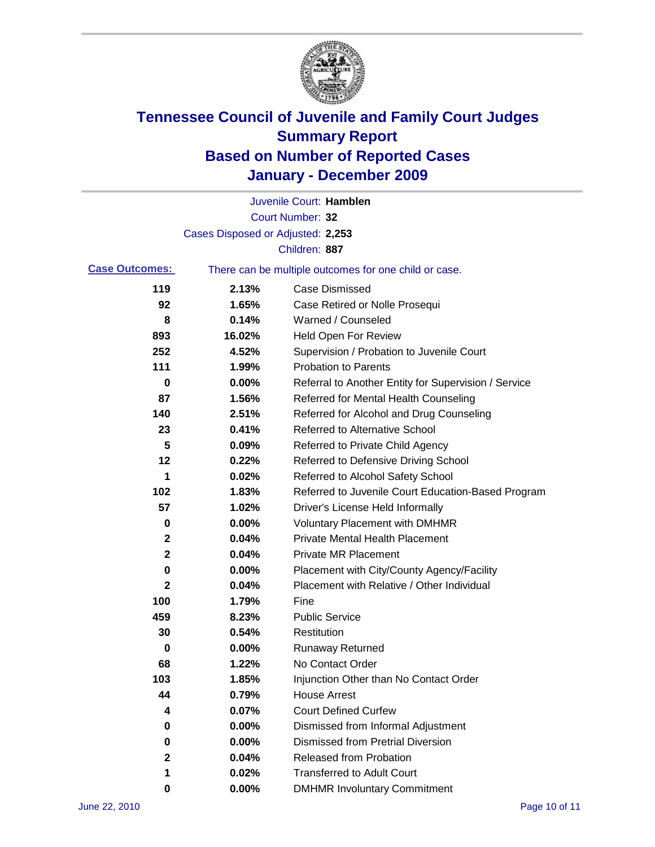

|                       |                                   | Juvenile Court: Hamblen                               |
|-----------------------|-----------------------------------|-------------------------------------------------------|
|                       |                                   | Court Number: 32                                      |
|                       | Cases Disposed or Adjusted: 2,253 |                                                       |
|                       |                                   | Children: 887                                         |
| <b>Case Outcomes:</b> |                                   | There can be multiple outcomes for one child or case. |
| 119                   | 2.13%                             | <b>Case Dismissed</b>                                 |
| 92                    | 1.65%                             | Case Retired or Nolle Prosequi                        |
| 8                     | 0.14%                             | Warned / Counseled                                    |
| 893                   | 16.02%                            | <b>Held Open For Review</b>                           |
| 252                   | 4.52%                             | Supervision / Probation to Juvenile Court             |
| 111                   | 1.99%                             | <b>Probation to Parents</b>                           |
| 0                     | 0.00%                             | Referral to Another Entity for Supervision / Service  |
| 87                    | 1.56%                             | Referred for Mental Health Counseling                 |
| 140                   | 2.51%                             | Referred for Alcohol and Drug Counseling              |
| 23                    | 0.41%                             | <b>Referred to Alternative School</b>                 |
| 5                     | 0.09%                             | Referred to Private Child Agency                      |
| 12                    | 0.22%                             | Referred to Defensive Driving School                  |
| 1                     | 0.02%                             | Referred to Alcohol Safety School                     |
| 102                   | 1.83%                             | Referred to Juvenile Court Education-Based Program    |
| 57                    | 1.02%                             | Driver's License Held Informally                      |
| 0                     | 0.00%                             | <b>Voluntary Placement with DMHMR</b>                 |
| 2                     | 0.04%                             | <b>Private Mental Health Placement</b>                |
| $\mathbf 2$           | 0.04%                             | <b>Private MR Placement</b>                           |
| 0                     | 0.00%                             | Placement with City/County Agency/Facility            |
| 2                     | 0.04%                             | Placement with Relative / Other Individual            |
| 100                   | 1.79%                             | Fine                                                  |
| 459                   | 8.23%                             | <b>Public Service</b>                                 |
| 30                    | 0.54%                             | Restitution                                           |
| 0                     | 0.00%                             | <b>Runaway Returned</b>                               |
| 68                    | 1.22%                             | No Contact Order                                      |
| 103                   | 1.85%                             | Injunction Other than No Contact Order                |
| 44                    | 0.79%                             | <b>House Arrest</b>                                   |
| 4                     | 0.07%                             | <b>Court Defined Curfew</b>                           |
| 0                     | 0.00%                             | Dismissed from Informal Adjustment                    |
| 0                     | 0.00%                             | <b>Dismissed from Pretrial Diversion</b>              |
| 2                     | 0.04%                             | <b>Released from Probation</b>                        |
| 1                     | 0.02%                             | <b>Transferred to Adult Court</b>                     |
| 0                     | $0.00\%$                          | <b>DMHMR Involuntary Commitment</b>                   |